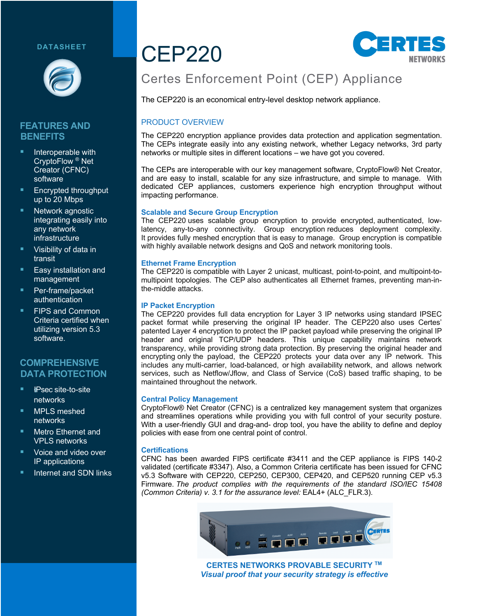#### **DATASHEET**



#### **FEATURES AND BENEFITS**

- Interoperable with CryptoFlow ® Net Creator (CFNC) software
- § Encrypted throughput up to 20 Mbps
- Network agnostic integrating easily into any network infrastructure
- § Visibility of data in transit
- § Easy installation and management
- § Per-frame/packet authentication
- § FIPS and Common Criteria certified when utilizing version 5.3 software.

# **COMPREHENSIVE DATA PROTECTION**

- § !*I*IPsec site-to-site networks
- § MPLS meshed networks
- § Metro Ethernet and VPLS networks
- § Voice and video over IP applications
- § Internet and SDN links

# CEP220



# Certes Enforcement Point (CEP) Appliance

The CEP220 is an economical entry-level desktop network appliance.

#### PRODUCT OVERVIEW

The CEP220 encryption appliance provides data protection and application segmentation. The CEPs integrate easily into any existing network, whether Legacy networks, 3rd party networks or multiple sites in different locations – we have got you covered.

The CEPs are interoperable with our key management software, CryptoFlow® Net Creator, and are easy to install, scalable for any size infrastructure, and simple to manage. With dedicated CEP appliances, customers experience high encryption throughput without impacting performance.

#### **Scalable and Secure Group Encryption**

The CEP220 uses scalable group encryption to provide encrypted, authenticated, lowlatency, any-to-any connectivity. Group encryption reduces deployment complexity. It provides fully meshed encryption that is easy to manage. Group encryption is compatible with highly available network designs and QoS and network monitoring tools.

#### **Ethernet Frame Encryption**

The CEP220 is compatible with Layer 2 unicast, multicast, point-to-point, and multipoint-tomultipoint topologies. The CEP also authenticates all Ethernet frames, preventing man-inthe-middle attacks.

#### **IP Packet Encryption**

The CEP220 provides full data encryption for Layer 3 IP networks using standard IPSEC packet format while preserving the original IP header. The CEP220 also uses Certes' patented Layer 4 encryption to protect the IP packet payload while preserving the original IP header and original TCP/UDP headers. This unique capability maintains network transparency, while providing strong data protection. By preserving the original header and encrypting only the payload, the CEP220 protects your data over any IP network. This includes any multi-carrier, load-balanced, or high availability network, and allows network services, such as Netflow/Jflow, and Class of Service (CoS) based traffic shaping, to be maintained throughout the network.

#### **Central Policy Management**

CryptoFlow® Net Creator (CFNC) is a centralized key management system that organizes and streamlines operations while providing you with full control of your security posture. With a user-friendly GUI and drag-and- drop tool, you have the ability to define and deploy policies with ease from one central point of control.

#### **Certifications**

CFNC has been awarded FIPS certificate #3411 and the CEP appliance is FIPS 140-2 validated (certificate #3347). Also, a Common Criteria certificate has been issued for CFNC v5.3 Software with CEP220, CEP250, CEP300, CEP420, and CEP520 running CEP v5.3 Firmware. *The product complies with the requirements of the standard ISO/IEC 15408 (Common Criteria) v. 3.1 for the assurance level:* EAL4+ (ALC\_FLR.3).



**CERTES NETWORKS PROVABLE SECURITY TM** *Visual proof that your security strategy is effective*